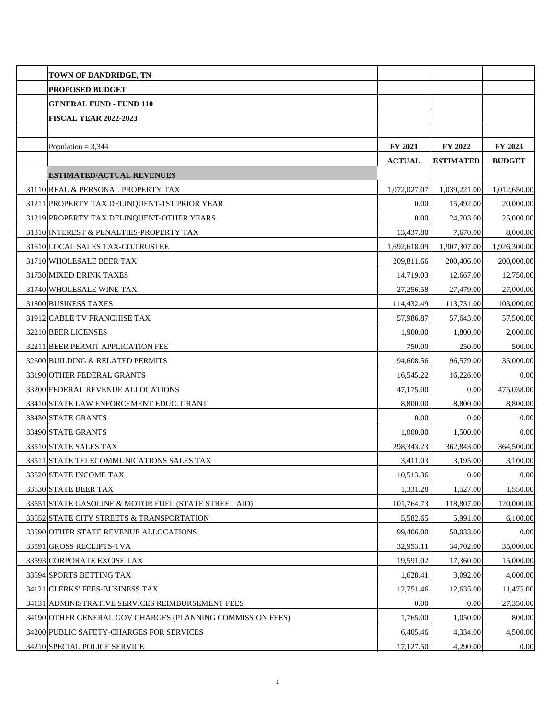| <b>TOWN OF DANDRIDGE, TN</b>                               |               |                  |               |
|------------------------------------------------------------|---------------|------------------|---------------|
| PROPOSED BUDGET                                            |               |                  |               |
| <b>GENERAL FUND - FUND 110</b>                             |               |                  |               |
| <b>FISCAL YEAR 2022-2023</b>                               |               |                  |               |
|                                                            |               |                  |               |
| Population = $3,344$                                       | FY 2021       | FY 2022          | FY 2023       |
|                                                            | <b>ACTUAL</b> | <b>ESTIMATED</b> | <b>BUDGET</b> |
| <b>ESTIMATED/ACTUAL REVENUES</b>                           |               |                  |               |
| 31110 REAL & PERSONAL PROPERTY TAX                         | 1,072,027.07  | 1,039,221.00     | 1,012,650.00  |
| 31211 PROPERTY TAX DELINQUENT-1ST PRIOR YEAR               | 0.00          | 15,492.00        | 20,000.00     |
| 31219 PROPERTY TAX DELINQUENT-OTHER YEARS                  | 0.00          | 24,703.00        | 25,000.00     |
| 31310 INTEREST & PENALTIES-PROPERTY TAX                    | 13,437.80     | 7,670.00         | 8,000.00      |
| 31610 LOCAL SALES TAX-CO.TRUSTEE                           | 1,692,618.09  | 1.907.307.00     | 1,926,300.00  |
| 31710 WHOLESALE BEER TAX                                   | 209,811.66    | 200,406.00       | 200,000.00    |
| 31730 MIXED DRINK TAXES                                    | 14,719.03     | 12,667.00        | 12,750.00     |
| 31740 WHOLESALE WINE TAX                                   | 27,256.58     | 27,479.00        | 27,000.00     |
| 31800 BUSINESS TAXES                                       | 114,432.49    | 113,731.00       | 103,000.00    |
| 31912 CABLE TV FRANCHISE TAX                               | 57,986.87     | 57,643.00        | 57,500.00     |
| 32210 BEER LICENSES                                        | 1,900.00      | 1,800.00         | 2,000.00      |
| 32211 BEER PERMIT APPLICATION FEE                          | 750.00        | 250.00           | 500.00        |
| 32600 BUILDING & RELATED PERMITS                           | 94,608.56     | 96,579.00        | 35,000.00     |
| 33190 OTHER FEDERAL GRANTS                                 | 16,545.22     | 16,226.00        | 0.00          |
| 33200 FEDERAL REVENUE ALLOCATIONS                          | 47,175.00     | 0.00             | 475,038.00    |
| 33410 STATE LAW ENFORCEMENT EDUC. GRANT                    | 8,800.00      | 8,800.00         | 8,800.00      |
| 33430 STATE GRANTS                                         | 0.00          | 0.00             | 0.00          |
| 33490 STATE GRANTS                                         | 1,000.00      | 1.500.00         | 0.00          |
| 33510 STATE SALES TAX                                      | 298,343.23    | 362,843.00       | 364,500.00    |
| 33511 STATE TELECOMMUNICATIONS SALES TAX                   | 3,411.03      | 3,195.00         | 3,100.00      |
| 33520 STATE INCOME TAX                                     | 10,513.36     | 0.00             | 0.00          |
| 33530 STATE BEER TAX                                       | 1,331.28      | 1,527.00         | 1,550.00      |
| 33551 STATE GASOLINE & MOTOR FUEL (STATE STREET AID)       | 101,764.73    | 118,807.00       | 120,000.00    |
| 33552 STATE CITY STREETS & TRANSPORTATION                  | 5,582.65      | 5,991.00         | 6,100.00      |
| 33590 OTHER STATE REVENUE ALLOCATIONS                      | 99,406.00     | 50,033.00        | 0.00          |
| 33591 GROSS RECEIPTS-TVA                                   | 32,953.11     | 34,702.00        | 35,000.00     |
| 33593 CORPORATE EXCISE TAX                                 | 19,591.02     | 17,360.00        | 15,000.00     |
| 33594 SPORTS BETTING TAX                                   | 1,628.41      | 3,092.00         | 4,000.00      |
| 34121 CLERKS' FEES-BUSINESS TAX                            | 12,751.46     | 12,635.00        | 11,475.00     |
| 34131 ADMINISTRATIVE SERVICES REIMBURSEMENT FEES           | 0.00          | 0.00             | 27,350.00     |
| 34190 OTHER GENERAL GOV CHARGES (PLANNING COMMISSION FEES) | 1,765.00      | 1,050.00         | 800.00        |
| 34200 PUBLIC SAFETY-CHARGES FOR SERVICES                   | 6,405.46      | 4,334.00         | 4,500.00      |
| 34210 SPECIAL POLICE SERVICE                               | 17,127.50     | 4,290.00         | 0.00          |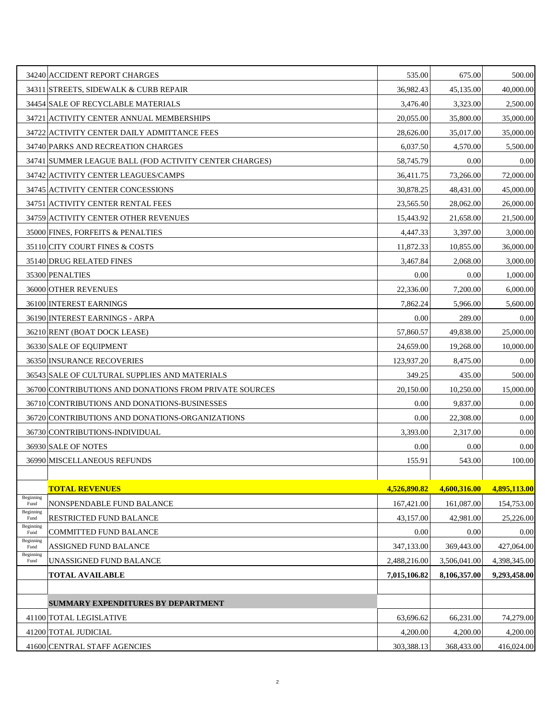|                   | 34240 ACCIDENT REPORT CHARGES                          | 535.00       | 675.00       | 500.00       |
|-------------------|--------------------------------------------------------|--------------|--------------|--------------|
|                   | 34311 STREETS, SIDEWALK & CURB REPAIR                  | 36,982.43    | 45.135.00    | 40,000.00    |
|                   | 34454 SALE OF RECYCLABLE MATERIALS                     | 3,476.40     | 3,323.00     | 2,500.00     |
|                   | 34721 ACTIVITY CENTER ANNUAL MEMBERSHIPS               | 20,055.00    | 35,800.00    | 35,000.00    |
|                   | 34722 ACTIVITY CENTER DAILY ADMITTANCE FEES            | 28,626.00    | 35,017.00    | 35,000.00    |
|                   | 34740 PARKS AND RECREATION CHARGES                     | 6,037.50     | 4,570.00     | 5,500.00     |
|                   | 34741 SUMMER LEAGUE BALL (FOD ACTIVITY CENTER CHARGES) | 58,745.79    | 0.00         | 0.00         |
|                   | 34742 ACTIVITY CENTER LEAGUES/CAMPS                    | 36,411.75    | 73,266.00    | 72,000.00    |
|                   | 34745 ACTIVITY CENTER CONCESSIONS                      | 30,878.25    | 48,431.00    | 45,000.00    |
|                   | 34751 ACTIVITY CENTER RENTAL FEES                      | 23,565.50    | 28,062.00    | 26,000.00    |
|                   | 34759 ACTIVITY CENTER OTHER REVENUES                   | 15,443.92    | 21,658.00    | 21,500.00    |
|                   | 35000 FINES, FORFEITS & PENALTIES                      | 4,447.33     | 3,397.00     | 3,000.00     |
|                   | 35110 CITY COURT FINES & COSTS                         | 11,872.33    | 10,855.00    | 36,000.00    |
|                   | 35140 DRUG RELATED FINES                               | 3.467.84     | 2,068.00     | 3,000.00     |
|                   | 35300 PENALTIES                                        | 0.00         | 0.00         | 1,000.00     |
|                   | 36000 OTHER REVENUES                                   | 22,336.00    | 7,200.00     | 6,000.00     |
|                   | 36100 INTEREST EARNINGS                                | 7,862.24     | 5,966.00     | 5,600.00     |
|                   | 36190 INTEREST EARNINGS - ARPA                         | 0.00         | 289.00       | 0.00         |
|                   | 36210 RENT (BOAT DOCK LEASE)                           | 57,860.57    | 49,838.00    | 25,000.00    |
|                   | 36330 SALE OF EQUIPMENT                                | 24,659.00    | 19,268.00    | 10,000.00    |
|                   | 36350 INSURANCE RECOVERIES                             | 123,937.20   | 8,475.00     | 0.00         |
|                   | 36543 SALE OF CULTURAL SUPPLIES AND MATERIALS          | 349.25       | 435.00       | 500.00       |
|                   | 36700 CONTRIBUTIONS AND DONATIONS FROM PRIVATE SOURCES | 20,150.00    | 10,250.00    | 15,000.00    |
|                   | 36710 CONTRIBUTIONS AND DONATIONS-BUSINESSES           | 0.00         | 9,837.00     | 0.00         |
|                   | 36720 CONTRIBUTIONS AND DONATIONS-ORGANIZATIONS        | 0.00         | 22,308.00    | 0.00         |
|                   | 36730 CONTRIBUTIONS-INDIVIDUAL                         | 3,393.00     | 2,317.00     | 0.00         |
|                   | 36930 SALE OF NOTES                                    | 0.00         | 0.00         | 0.00         |
|                   | 36990 MISCELLANEOUS REFUNDS                            | 155.91       | 543.00       | 100.00       |
|                   |                                                        |              |              |              |
|                   | <b>TOTAL REVENUES</b>                                  | 4,526,890.82 | 4,600,316.00 | 4,895,113.00 |
| Beginning<br>Fund | NONSPENDABLE FUND BALANCE                              | 167,421.00   | 161,087.00   | 154,753.00   |
| Beginning<br>Fund | RESTRICTED FUND BALANCE                                | 43,157.00    | 42,981.00    | 25,226.00    |
| Beginning<br>Fund | COMMITTED FUND BALANCE                                 | 0.00         | 0.00         | 0.00         |
| Beginning<br>Fund | ASSIGNED FUND BALANCE                                  | 347,133.00   | 369,443.00   | 427,064.00   |
| Beginning<br>Fund | UNASSIGNED FUND BALANCE                                | 2,488,216.00 | 3,506,041.00 | 4,398,345.00 |
|                   | <b>TOTAL AVAILABLE</b>                                 | 7,015,106.82 | 8,106,357.00 | 9,293,458.00 |
|                   |                                                        |              |              |              |
|                   | <b>SUMMARY EXPENDITURES BY DEPARTMENT</b>              |              |              |              |
|                   | 41100 TOTAL LEGISLATIVE                                | 63,696.62    | 66,231.00    | 74,279.00    |
|                   | 41200 TOTAL JUDICIAL                                   | 4,200.00     | 4,200.00     | 4,200.00     |
|                   | 41600 CENTRAL STAFF AGENCIES                           | 303,388.13   | 368,433.00   | 416,024.00   |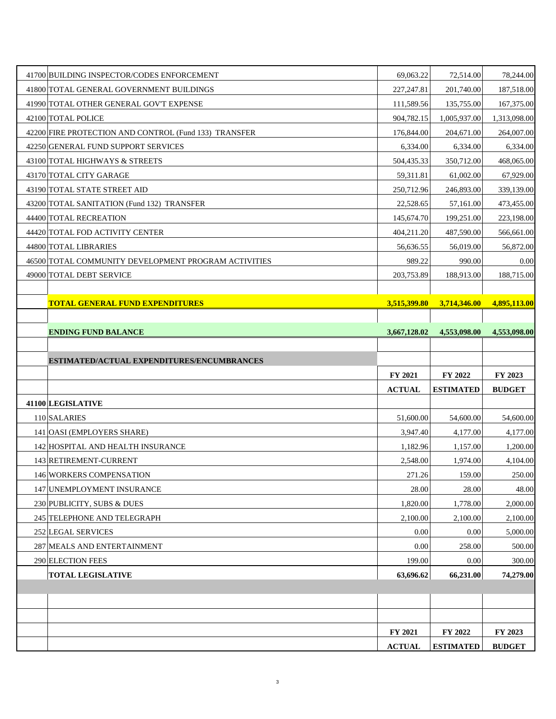| 41700 BUILDING INSPECTOR/CODES ENFORCEMENT            | 69,063.22           | 72,514.00        | 78,244.00                        |
|-------------------------------------------------------|---------------------|------------------|----------------------------------|
| 41800 TOTAL GENERAL GOVERNMENT BUILDINGS              | 227, 247.81         | 201.740.00       | 187,518.00                       |
| 41990 TOTAL OTHER GENERAL GOV'T EXPENSE               | 111,589.56          | 135,755.00       | 167,375.00                       |
| 42100 TOTAL POLICE                                    | 904,782.15          | 1,005,937.00     | 1,313,098.00                     |
| 42200 FIRE PROTECTION AND CONTROL (Fund 133) TRANSFER | 176,844.00          | 204,671.00       | 264,007.00                       |
| 42250 GENERAL FUND SUPPORT SERVICES                   | 6,334.00            | 6,334.00         | 6,334.00                         |
| 43100 TOTAL HIGHWAYS & STREETS                        | 504,435.33          | 350,712.00       | 468,065.00                       |
| 43170 TOTAL CITY GARAGE                               | 59,311.81           | 61,002.00        | 67,929.00                        |
| 43190 TOTAL STATE STREET AID                          | 250,712.96          | 246,893.00       | 339,139.00                       |
| 43200 TOTAL SANITATION (Fund 132) TRANSFER            | 22,528.65           | 57,161.00        | 473,455.00                       |
| 44400 TOTAL RECREATION                                | 145,674.70          | 199,251.00       | 223,198.00                       |
| 44420 TOTAL FOD ACTIVITY CENTER                       | 404,211.20          | 487,590.00       | 566,661.00                       |
| 44800 TOTAL LIBRARIES                                 | 56,636.55           | 56,019.00        | 56,872.00                        |
| 46500 TOTAL COMMUNITY DEVELOPMENT PROGRAM ACTIVITIES  | 989.22              | 990.00           | 0.00                             |
| 49000 TOTAL DEBT SERVICE                              | 203,753.89          | 188,913.00       | 188,715.00                       |
|                                                       |                     |                  |                                  |
| <b>TOTAL GENERAL FUND EXPENDITURES</b>                | 3,515,399.80        | 3,714,346.00     | 4,895,113.00                     |
|                                                       |                     |                  |                                  |
| <b>ENDING FUND BALANCE</b>                            | 3,667,128.02        | 4,553,098.00     | 4,553,098.00                     |
|                                                       |                     |                  |                                  |
|                                                       |                     |                  |                                  |
| ESTIMATED/ACTUAL EXPENDITURES/ENCUMBRANCES            |                     |                  |                                  |
|                                                       | FY 2021             | FY 2022          | FY 2023                          |
|                                                       | <b>ACTUAL</b>       | <b>ESTIMATED</b> | <b>BUDGET</b>                    |
| 41100 LEGISLATIVE                                     |                     |                  |                                  |
| 110 SALARIES                                          | 51,600.00           | 54,600.00        |                                  |
| 141 OASI (EMPLOYERS SHARE)                            | 3,947.40            | 4,177.00         | 54,600.00<br>4,177.00            |
| 142 HOSPITAL AND HEALTH INSURANCE                     | 1,182.96            | 1,157.00         |                                  |
| 143 RETIREMENT-CURRENT                                | 2,548.00            | 1,974.00         | 1,200.00<br>4,104.00             |
| 146 WORKERS COMPENSATION                              | 271.26              | 159.00           |                                  |
| 147 UNEMPLOYMENT INSURANCE                            | 28.00               | 28.00            | 250.00<br>48.00                  |
| 230 PUBLICITY, SUBS & DUES                            | 1,820.00            | 1,778.00         |                                  |
| 245 TELEPHONE AND TELEGRAPH                           | 2,100.00            | 2,100.00         |                                  |
| 252 LEGAL SERVICES                                    | 0.00                | 0.00             | 2,000.00<br>2,100.00<br>5,000.00 |
| 287 MEALS AND ENTERTAINMENT                           | 0.00                | 258.00           | 500.00                           |
| 290 ELECTION FEES<br><b>TOTAL LEGISLATIVE</b>         | 199.00<br>63,696.62 | 0.00             | 300.00                           |
|                                                       |                     | 66,231.00        | 74,279.00                        |
|                                                       |                     |                  |                                  |
|                                                       |                     |                  |                                  |
|                                                       | FY 2021             | FY 2022          | FY 2023                          |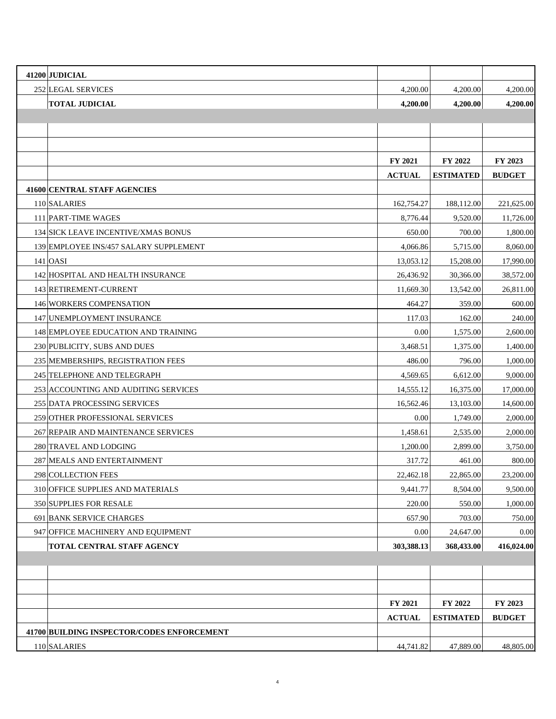| 41200 JUDICIAL                             |                |                  |               |
|--------------------------------------------|----------------|------------------|---------------|
| 252 LEGAL SERVICES                         | 4,200.00       | 4,200.00         | 4,200.00      |
| <b>TOTAL JUDICIAL</b>                      | 4,200.00       | 4,200.00         | 4,200.00      |
|                                            |                |                  |               |
|                                            |                |                  |               |
|                                            |                |                  |               |
|                                            | <b>FY 2021</b> | <b>FY 2022</b>   | FY 2023       |
|                                            | <b>ACTUAL</b>  | <b>ESTIMATED</b> | <b>BUDGET</b> |
| 41600 CENTRAL STAFF AGENCIES               |                |                  |               |
| 110 SALARIES                               | 162,754.27     | 188,112.00       | 221,625.00    |
| 111 PART-TIME WAGES                        | 8,776.44       | 9,520.00         | 11,726.00     |
| 134 SICK LEAVE INCENTIVE/XMAS BONUS        | 650.00         | 700.00           | 1,800.00      |
| 139 EMPLOYEE INS/457 SALARY SUPPLEMENT     | 4,066.86       | 5,715.00         | 8,060.00      |
| $141$ OASI                                 | 13,053.12      | 15,208.00        | 17,990.00     |
| 142 HOSPITAL AND HEALTH INSURANCE          | 26,436.92      | 30,366.00        | 38,572.00     |
| 143 RETIREMENT-CURRENT                     | 11,669.30      | 13,542.00        | 26,811.00     |
| 146 WORKERS COMPENSATION                   | 464.27         | 359.00           | 600.00        |
| 147 UNEMPLOYMENT INSURANCE                 | 117.03         | 162.00           | 240.00        |
| 148 EMPLOYEE EDUCATION AND TRAINING        | 0.00           | 1,575.00         | 2,600.00      |
| 230 PUBLICITY, SUBS AND DUES               | 3,468.51       | 1,375.00         | 1,400.00      |
| 235 MEMBERSHIPS, REGISTRATION FEES         | 486.00         | 796.00           | 1,000.00      |
| 245 TELEPHONE AND TELEGRAPH                | 4,569.65       | 6,612.00         | 9,000.00      |
| 253 ACCOUNTING AND AUDITING SERVICES       | 14,555.12      | 16,375.00        | 17,000.00     |
| 255 DATA PROCESSING SERVICES               | 16,562.46      | 13,103.00        | 14,600.00     |
| 259 OTHER PROFESSIONAL SERVICES            | 0.00           | 1,749.00         | 2,000.00      |
| 267 REPAIR AND MAINTENANCE SERVICES        | 1,458.61       | 2,535.00         | 2,000.00      |
| 280 TRAVEL AND LODGING                     | 1,200.00       | 2,899.00         | 3,750.00      |
| 287 MEALS AND ENTERTAINMENT                | 317.72         | 461.00           | 800.00        |
| 298 COLLECTION FEES                        | 22,462.18      | 22,865.00        | 23,200.00     |
| 310 OFFICE SUPPLIES AND MATERIALS          | 9,441.77       | 8,504.00         | 9,500.00      |
| 350 SUPPLIES FOR RESALE                    | 220.00         | 550.00           | 1,000.00      |
| 691 BANK SERVICE CHARGES                   | 657.90         | 703.00           | 750.00        |
| 947 OFFICE MACHINERY AND EQUIPMENT         | 0.00           | 24,647.00        | 0.00          |
| TOTAL CENTRAL STAFF AGENCY                 | 303,388.13     | 368,433.00       | 416,024.00    |
|                                            |                |                  |               |
|                                            |                |                  |               |
|                                            |                |                  |               |
|                                            | FY 2021        | FY 2022          | FY 2023       |
|                                            | <b>ACTUAL</b>  | <b>ESTIMATED</b> | <b>BUDGET</b> |
| 41700 BUILDING INSPECTOR/CODES ENFORCEMENT |                |                  |               |
| 110 SALARIES                               | 44,741.82      | 47,889.00        | 48,805.00     |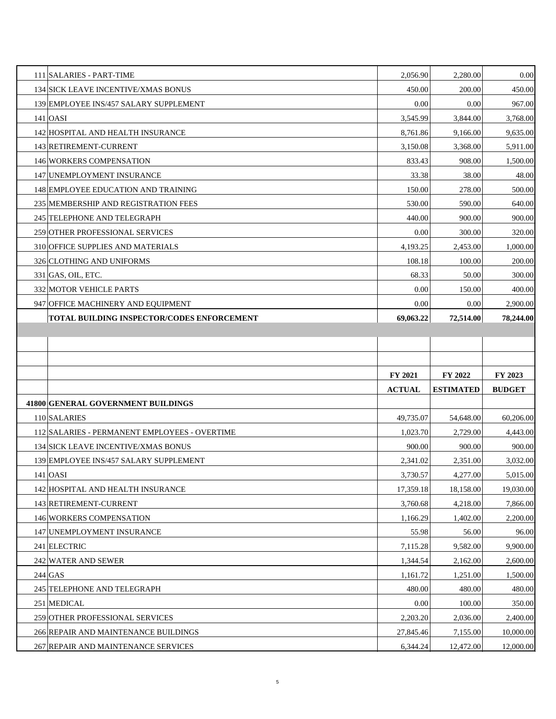| 111 SALARIES - PART-TIME                      | 2,056.90      | 2,280.00         | 0.00                          |
|-----------------------------------------------|---------------|------------------|-------------------------------|
| 134 SICK LEAVE INCENTIVE/XMAS BONUS           | 450.00        | 200.00           | 450.00                        |
| 139 EMPLOYEE INS/457 SALARY SUPPLEMENT        | 0.00          | 0.00             | 967.00                        |
| $141$ OASI                                    | 3,545.99      | 3,844.00         | 3,768.00                      |
| 142 HOSPITAL AND HEALTH INSURANCE             | 8,761.86      | 9,166.00         | 9,635.00                      |
| 143 RETIREMENT-CURRENT                        | 3,150.08      | 3,368.00         | 5,911.00                      |
| 146 WORKERS COMPENSATION                      | 833.43        | 908.00           | 1,500.00                      |
| 147 UNEMPLOYMENT INSURANCE                    | 33.38         | 38.00            | 48.00                         |
| 148 EMPLOYEE EDUCATION AND TRAINING           | 150.00        | 278.00           | 500.00                        |
| 235 MEMBERSHIP AND REGISTRATION FEES          | 530.00        | 590.00           | 640.00                        |
| 245 TELEPHONE AND TELEGRAPH                   | 440.00        | 900.00           | 900.00                        |
| 259 OTHER PROFESSIONAL SERVICES               | 0.00          | 300.00           | 320.00                        |
| 310 OFFICE SUPPLIES AND MATERIALS             | 4,193.25      | 2,453.00         | 1,000.00                      |
| 326 CLOTHING AND UNIFORMS                     | 108.18        | 100.00           | 200.00                        |
| $331$ GAS, OIL, ETC.                          | 68.33         | 50.00            | 300.00                        |
| <b>332 MOTOR VEHICLE PARTS</b>                | 0.00          | 150.00           | 400.00                        |
| 947 OFFICE MACHINERY AND EQUIPMENT            | 0.00          | 0.00             | 2,900.00                      |
| TOTAL BUILDING INSPECTOR/CODES ENFORCEMENT    | 69,063.22     | 72,514.00        | 78,244.00                     |
|                                               |               |                  |                               |
|                                               |               |                  |                               |
|                                               |               |                  |                               |
|                                               |               |                  |                               |
|                                               | FY 2021       | FY 2022          | FY 2023                       |
|                                               | <b>ACTUAL</b> | <b>ESTIMATED</b> | <b>BUDGET</b>                 |
| 41800 GENERAL GOVERNMENT BUILDINGS            |               |                  |                               |
| 110 SALARIES                                  | 49,735.07     | 54,648.00        |                               |
| 112 SALARIES - PERMANENT EMPLOYEES - OVERTIME | 1,023.70      | 2,729.00         | 60,206.00<br>4,443.00         |
| 134 SICK LEAVE INCENTIVE/XMAS BONUS           | 900.00        | 900.00           | 900.00                        |
| 139 EMPLOYEE INS/457 SALARY SUPPLEMENT        | 2,341.02      | 2,351.00         | 3,032.00                      |
| 141   OASI                                    | 3,730.57      | 4,277.00         | 5,015.00                      |
| 142 HOSPITAL AND HEALTH INSURANCE             | 17,359.18     | 18,158.00        | 19,030.00                     |
| 143 RETIREMENT-CURRENT                        | 3,760.68      | 4,218.00         |                               |
| 146 WORKERS COMPENSATION                      | 1,166.29      | 1,402.00         |                               |
| 147 UNEMPLOYMENT INSURANCE                    | 55.98         | 56.00            | 7,866.00<br>2,200.00<br>96.00 |
| 241 ELECTRIC                                  | 7,115.28      | 9,582.00         |                               |
| 242 WATER AND SEWER                           | 1,344.54      | 2,162.00         | 9,900.00<br>2,600.00          |
| $244$ GAS                                     | 1,161.72      | 1,251.00         |                               |
| 245 TELEPHONE AND TELEGRAPH                   | 480.00        | 480.00           |                               |
| 251 MEDICAL                                   | 0.00          | 100.00           | 1,500.00<br>480.00<br>350.00  |
| 259 OTHER PROFESSIONAL SERVICES               | 2,203.20      | 2,036.00         |                               |
| 266 REPAIR AND MAINTENANCE BUILDINGS          | 27,845.46     | 7,155.00         | 2,400.00<br>10,000.00         |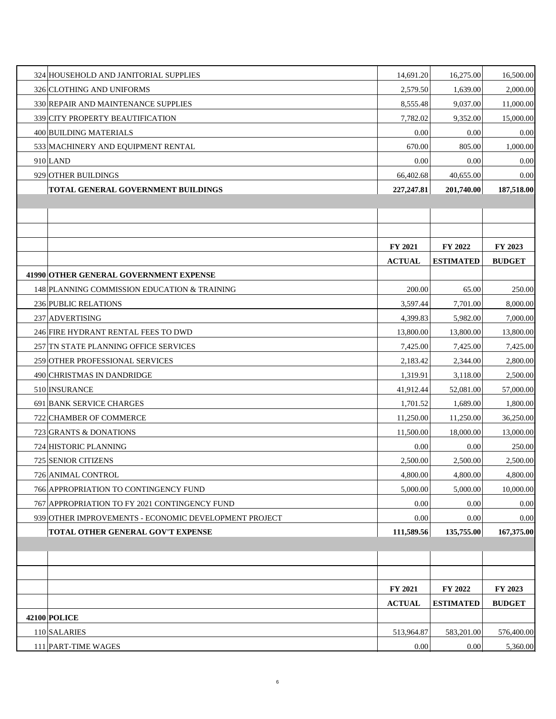| 324 HOUSEHOLD AND JANITORIAL SUPPLIES                 | 14,691.20      | 16,275.00        | 16,500.00     |
|-------------------------------------------------------|----------------|------------------|---------------|
| 326 CLOTHING AND UNIFORMS                             | 2,579.50       | 1,639.00         | 2,000.00      |
| 330 REPAIR AND MAINTENANCE SUPPLIES                   | 8,555.48       | 9,037.00         | 11,000.00     |
| 339 CITY PROPERTY BEAUTIFICATION                      | 7,782.02       | 9,352.00         | 15,000.00     |
| 400 BUILDING MATERIALS                                | 0.00           | 0.00             | 0.00          |
| 533 MACHINERY AND EQUIPMENT RENTAL                    | 670.00         | 805.00           | 1,000.00      |
| $910$ LAND                                            | 0.00           | 0.00             | 0.00          |
| 929 OTHER BUILDINGS                                   | 66,402.68      | 40,655.00        | 0.00          |
| TOTAL GENERAL GOVERNMENT BUILDINGS                    | 227, 247.81    | 201,740.00       | 187,518.00    |
|                                                       |                |                  |               |
|                                                       |                |                  |               |
|                                                       |                |                  |               |
|                                                       | <b>FY 2021</b> | FY 2022          | FY 2023       |
|                                                       | <b>ACTUAL</b>  | <b>ESTIMATED</b> | <b>BUDGET</b> |
| 41990 OTHER GENERAL GOVERNMENT EXPENSE                |                |                  |               |
| 148 PLANNING COMMISSION EDUCATION & TRAINING          | 200.00         | 65.00            | 250.00        |
| 236 PUBLIC RELATIONS                                  | 3,597.44       | 7,701.00         | 8,000.00      |
| 237 ADVERTISING                                       | 4,399.83       | 5,982.00         | 7,000.00      |
| 246 FIRE HYDRANT RENTAL FEES TO DWD                   | 13,800.00      | 13,800.00        | 13,800.00     |
| 257 TN STATE PLANNING OFFICE SERVICES                 | 7,425.00       | 7,425.00         | 7,425.00      |
| 259 OTHER PROFESSIONAL SERVICES                       | 2,183.42       | 2,344.00         | 2,800.00      |
| 490 CHRISTMAS IN DANDRIDGE                            | 1,319.91       | 3,118.00         | 2,500.00      |
| 510 INSURANCE                                         | 41,912.44      | 52,081.00        | 57,000.00     |
| 691 BANK SERVICE CHARGES                              | 1,701.52       | 1,689.00         | 1,800.00      |
| 722 CHAMBER OF COMMERCE                               | 11,250.00      | 11,250.00        | 36,250.00     |
| 723 GRANTS & DONATIONS                                | 11,500.00      | 18,000.00        | 13,000.00     |
| 724 HISTORIC PLANNING                                 | 0.00           | 0.00             | 250.00        |
| 725 SENIOR CITIZENS                                   | 2,500.00       | 2,500.00         | 2,500.00      |
| 726 ANIMAL CONTROL                                    | 4,800.00       | 4,800.00         | 4,800.00      |
| 766 APPROPRIATION TO CONTINGENCY FUND                 | 5,000.00       | 5,000.00         | 10,000.00     |
| 767 APPROPRIATION TO FY 2021 CONTINGENCY FUND         | 0.00           | 0.00             | 0.00          |
| 939 OTHER IMPROVEMENTS - ECONOMIC DEVELOPMENT PROJECT | 0.00           | 0.00             | 0.00          |
| TOTAL OTHER GENERAL GOV'T EXPENSE                     | 111,589.56     | 135,755.00       | 167,375.00    |
|                                                       |                |                  |               |
|                                                       |                |                  |               |
|                                                       |                |                  |               |
|                                                       | FY 2021        | FY 2022          | FY 2023       |
|                                                       | $\bf{ACTUAL}$  | <b>ESTIMATED</b> | <b>BUDGET</b> |
| <b>42100 POLICE</b>                                   |                |                  |               |
| 110 SALARIES                                          | 513,964.87     | 583,201.00       | 576,400.00    |
| 111 PART-TIME WAGES                                   | 0.00           | 0.00             | 5,360.00      |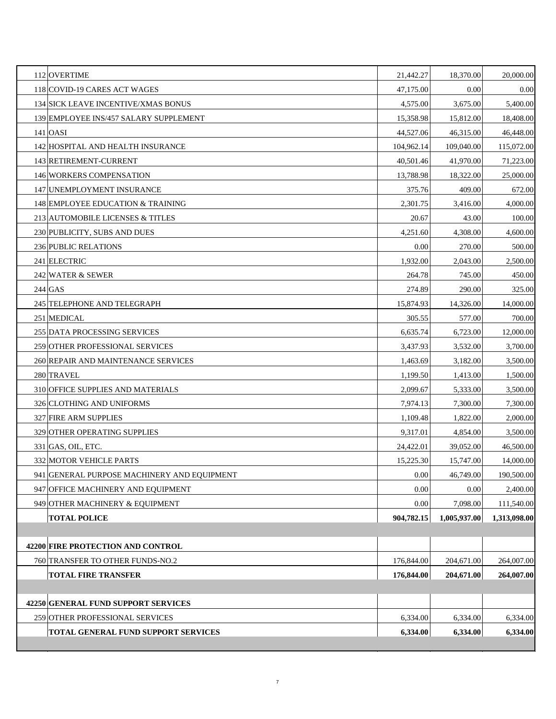| 259 OTHER PROFESSIONAL SERVICES<br>TOTAL GENERAL FUND SUPPORT SERVICES | 6,334.00<br>6,334.00 | 6,334.00<br>6,334.00 | 6,334.00           |
|------------------------------------------------------------------------|----------------------|----------------------|--------------------|
| 42250 GENERAL FUND SUPPORT SERVICES                                    |                      |                      | 6,334.00           |
|                                                                        |                      |                      |                    |
| <b>TOTAL FIRE TRANSFER</b>                                             | 176,844.00           | 204,671.00           | 264,007.00         |
| 760 TRANSFER TO OTHER FUNDS-NO.2                                       | 176,844.00           | 204,671.00           | 264,007.00         |
| 42200 FIRE PROTECTION AND CONTROL                                      |                      |                      |                    |
|                                                                        |                      |                      |                    |
| <b>TOTAL POLICE</b>                                                    | 904,782.15           | 1,005,937.00         | 1,313,098.00       |
| 949 OTHER MACHINERY & EQUIPMENT                                        | 0.00                 | 7,098.00             | 111,540.00         |
| 947 OFFICE MACHINERY AND EQUIPMENT                                     | 0.00                 | 0.00                 | 2,400.00           |
| 941 GENERAL PURPOSE MACHINERY AND EQUIPMENT                            | 0.00                 | 46,749.00            | 190,500.00         |
| 332 MOTOR VEHICLE PARTS                                                | 15,225.30            | 15,747.00            | 14,000.00          |
| $331$ GAS, OIL, ETC.                                                   | 24,422.01            | 39,052.00            | 46,500.00          |
| 329 OTHER OPERATING SUPPLIES                                           | 9,317.01             | 4,854.00             | 3,500.00           |
| <b>327 FIRE ARM SUPPLIES</b>                                           | 1,109.48             | 1,822.00             | 2,000.00           |
| 326 CLOTHING AND UNIFORMS                                              | 7,974.13             | 7,300.00             | 7,300.00           |
| 310 OFFICE SUPPLIES AND MATERIALS                                      | 2,099.67             | 5,333.00             | 3,500.00           |
| 280 TRAVEL                                                             | 1,199.50             | 1,413.00             | 1,500.00           |
| 260 REPAIR AND MAINTENANCE SERVICES                                    | 1,463.69             | 3,182.00             | 3,500.00           |
| 259 OTHER PROFESSIONAL SERVICES                                        | 3,437.93             | 3,532.00             | 3,700.00           |
| 255 DATA PROCESSING SERVICES                                           | 6,635.74             | 6,723.00             | 12,000.00          |
| 251 MEDICAL                                                            | 305.55               | 577.00               | 700.00             |
| 245 TELEPHONE AND TELEGRAPH                                            | 15,874.93            | 14,326.00            | 14,000.00          |
| $244$ GAS                                                              | 274.89               | 290.00               | 325.00             |
| 242 WATER & SEWER                                                      | 264.78               | 745.00               | 450.00             |
| 241 ELECTRIC                                                           | 1,932.00             | 2,043.00             | 2,500.00           |
| 230 PUBLICITY, SUBS AND DUES<br>236 PUBLIC RELATIONS                   | 4,251.60<br>0.00     | 4,308.00<br>270.00   | 4,600.00<br>500.00 |
| 213 AUTOMOBILE LICENSES & TITLES                                       | 20.67                | 43.00                | 100.00             |
| 148 EMPLOYEE EDUCATION & TRAINING                                      | 2,301.75             | 3,416.00             | 4,000.00           |
| 147 UNEMPLOYMENT INSURANCE                                             | 375.76               | 409.00               | 672.00             |
| <b>146 WORKERS COMPENSATION</b>                                        | 13,788.98            | 18,322.00            | 25,000.00          |
| 143 RETIREMENT-CURRENT                                                 | 40,501.46            | 41,970.00            | 71,223.00          |
| 142 HOSPITAL AND HEALTH INSURANCE                                      | 104,962.14           | 109,040.00           | 115,072.00         |
| 141 <b>OASI</b>                                                        | 44,527.06            | 46,315.00            | 46,448.00          |
| 139 EMPLOYEE INS/457 SALARY SUPPLEMENT                                 | 15,358.98            | 15,812.00            | 18,408.00          |
| 134 SICK LEAVE INCENTIVE/XMAS BONUS                                    | 4,575.00             | 3,675.00             | 5,400.00           |
| 118 COVID-19 CARES ACT WAGES                                           | 47,175.00            | 0.00                 | 0.00               |
| 112 OVERTIME                                                           | 21,442.27            | 18,370.00            | 20,000.00          |
|                                                                        |                      |                      |                    |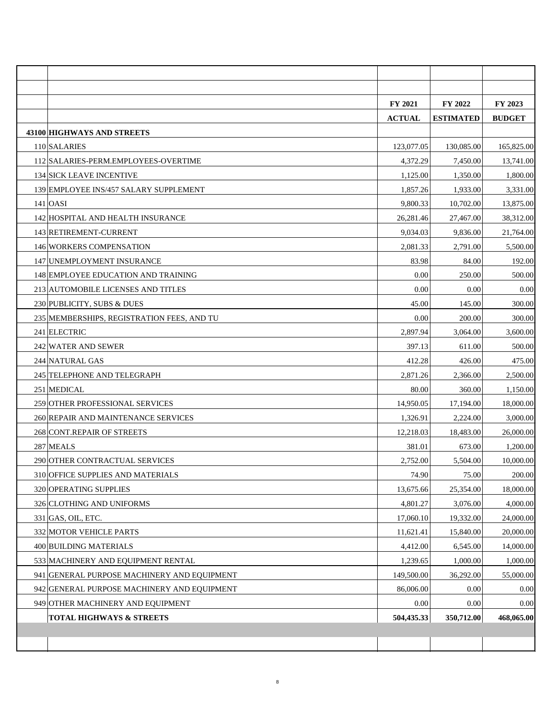|                                             | <b>FY 2021</b> | <b>FY 2022</b>   | FY 2023       |
|---------------------------------------------|----------------|------------------|---------------|
|                                             | <b>ACTUAL</b>  | <b>ESTIMATED</b> | <b>BUDGET</b> |
| 43100 HIGHWAYS AND STREETS                  |                |                  |               |
| 110 SALARIES                                | 123,077.05     | 130,085.00       | 165,825.00    |
| 112 SALARIES-PERM.EMPLOYEES-OVERTIME        | 4,372.29       | 7,450.00         | 13,741.00     |
| <b>134 SICK LEAVE INCENTIVE</b>             | 1,125.00       | 1,350.00         | 1,800.00      |
| 139 EMPLOYEE INS/457 SALARY SUPPLEMENT      | 1,857.26       | 1,933.00         | 3,331.00      |
| $141$ OASI                                  | 9,800.33       | 10,702.00        | 13,875.00     |
| 142 HOSPITAL AND HEALTH INSURANCE           | 26,281.46      | 27,467.00        | 38,312.00     |
| 143 RETIREMENT-CURRENT                      | 9,034.03       | 9,836.00         | 21,764.00     |
| 146 WORKERS COMPENSATION                    | 2,081.33       | 2,791.00         | 5,500.00      |
| 147 UNEMPLOYMENT INSURANCE                  | 83.98          | 84.00            | 192.00        |
| 148 EMPLOYEE EDUCATION AND TRAINING         | 0.00           | 250.00           | 500.00        |
| 213 AUTOMOBILE LICENSES AND TITLES          | 0.00           | 0.00             | 0.00          |
| 230 PUBLICITY, SUBS & DUES                  | 45.00          | 145.00           | 300.00        |
| 235 MEMBERSHIPS, REGISTRATION FEES, AND TU  | 0.00           | 200.00           | 300.00        |
| 241 ELECTRIC                                | 2,897.94       | 3,064.00         | 3,600.00      |
| 242 WATER AND SEWER                         | 397.13         | 611.00           | 500.00        |
| 244 NATURAL GAS                             | 412.28         | 426.00           | 475.00        |
| 245 TELEPHONE AND TELEGRAPH                 | 2,871.26       | 2,366.00         | 2,500.00      |
| 251 MEDICAL                                 | 80.00          | 360.00           | 1,150.00      |
| 259 OTHER PROFESSIONAL SERVICES             | 14,950.05      | 17,194.00        | 18,000.00     |
| 260 REPAIR AND MAINTENANCE SERVICES         | 1,326.91       | 2,224.00         | 3,000.00      |
| 268 CONT.REPAIR OF STREETS                  | 12,218.03      | 18,483.00        | 26,000.00     |
| 287 MEALS                                   | 381.01         | 673.00           | 1,200.00      |
| 290 OTHER CONTRACTUAL SERVICES              | 2,752.00       | 5,504.00         | 10,000.00     |
| 310 OFFICE SUPPLIES AND MATERIALS           | 74.90          | 75.00            | 200.00        |
| 320 OPERATING SUPPLIES                      | 13,675.66      | 25,354.00        | 18,000.00     |
| 326 CLOTHING AND UNIFORMS                   | 4,801.27       | 3,076.00         | 4,000.00      |
| $331$ GAS, OIL, ETC.                        | 17,060.10      | 19,332.00        | 24,000.00     |
| 332 MOTOR VEHICLE PARTS                     | 11,621.41      | 15,840.00        | 20,000.00     |
| 400 BUILDING MATERIALS                      | 4,412.00       | 6,545.00         | 14,000.00     |
| 533 MACHINERY AND EQUIPMENT RENTAL          | 1,239.65       | 1,000.00         | 1,000.00      |
| 941 GENERAL PURPOSE MACHINERY AND EQUIPMENT | 149,500.00     | 36,292.00        | 55,000.00     |
| 942 GENERAL PURPOSE MACHINERY AND EQUIPMENT | 86,006.00      | 0.00             | 0.00          |
| 949 OTHER MACHINERY AND EQUIPMENT           | 0.00           | 0.00             | 0.00          |
| <b>TOTAL HIGHWAYS &amp; STREETS</b>         | 504,435.33     | 350,712.00       | 468,065.00    |
|                                             |                |                  |               |
|                                             |                |                  |               |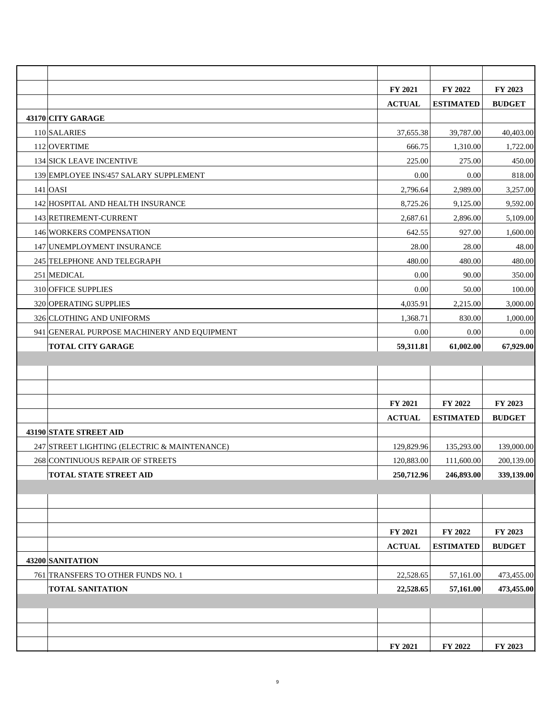|                                              | FY 2021       | FY 2022          | FY 2023       |
|----------------------------------------------|---------------|------------------|---------------|
|                                              | <b>ACTUAL</b> | <b>ESTIMATED</b> | <b>BUDGET</b> |
| 43170 CITY GARAGE                            |               |                  |               |
| 110 SALARIES                                 | 37,655.38     | 39,787.00        | 40,403.00     |
| 112 OVERTIME                                 | 666.75        | 1,310.00         | 1,722.00      |
| 134 SICK LEAVE INCENTIVE                     | 225.00        | 275.00           | 450.00        |
| 139 EMPLOYEE INS/457 SALARY SUPPLEMENT       | 0.00          | 0.00             | 818.00        |
| $141$ OASI                                   | 2,796.64      | 2,989.00         | 3,257.00      |
| 142 HOSPITAL AND HEALTH INSURANCE            | 8,725.26      | 9,125.00         | 9,592.00      |
| 143 RETIREMENT-CURRENT                       | 2,687.61      | 2,896.00         | 5,109.00      |
| 146 WORKERS COMPENSATION                     | 642.55        | 927.00           | 1,600.00      |
| 147 UNEMPLOYMENT INSURANCE                   | 28.00         | 28.00            | 48.00         |
| 245 TELEPHONE AND TELEGRAPH                  | 480.00        | 480.00           | 480.00        |
| 251 MEDICAL                                  | 0.00          | 90.00            | 350.00        |
| 310 OFFICE SUPPLIES                          | 0.00          | 50.00            | 100.00        |
| 320 OPERATING SUPPLIES                       | 4,035.91      | 2,215.00         | 3,000.00      |
| 326 CLOTHING AND UNIFORMS                    | 1,368.71      | 830.00           | 1,000.00      |
| 941 GENERAL PURPOSE MACHINERY AND EQUIPMENT  | 0.00          | 0.00             | 0.00          |
| <b>TOTAL CITY GARAGE</b>                     | 59,311.81     | 61,002.00        | 67,929.00     |
|                                              |               |                  |               |
|                                              |               |                  |               |
|                                              |               |                  |               |
|                                              | FY 2021       | FY 2022          | FY 2023       |
|                                              | <b>ACTUAL</b> | <b>ESTIMATED</b> | <b>BUDGET</b> |
| 43190 STATE STREET AID                       |               |                  |               |
| 247 STREET LIGHTING (ELECTRIC & MAINTENANCE) | 129,829.96    | 135,293.00       | 139,000.00    |
| 268 CONTINUOUS REPAIR OF STREETS             | 120,883.00    | 111,600.00       | 200,139.00    |
| <b>TOTAL STATE STREET AID</b>                | 250,712.96    | 246,893.00       | 339,139.00    |
|                                              |               |                  |               |
|                                              |               |                  |               |
|                                              |               |                  |               |
|                                              | FY 2021       | FY 2022          | FY 2023       |
|                                              | <b>ACTUAL</b> | <b>ESTIMATED</b> | <b>BUDGET</b> |
| 43200 SANITATION                             |               |                  |               |
| 761 TRANSFERS TO OTHER FUNDS NO. 1           | 22,528.65     | 57,161.00        | 473,455.00    |
| <b>TOTAL SANITATION</b>                      | 22,528.65     | 57,161.00        | 473,455.00    |
|                                              |               |                  |               |
|                                              |               |                  |               |
|                                              |               |                  |               |
|                                              | FY 2021       | FY 2022          | FY 2023       |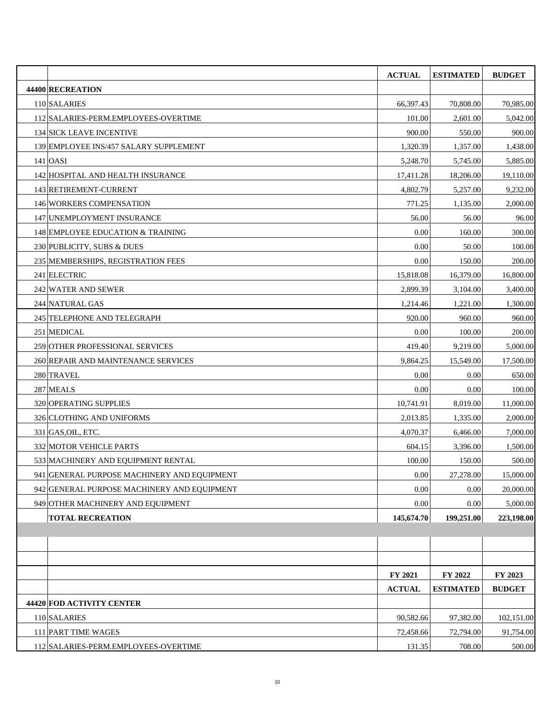|                                             | <b>ACTUAL</b> | <b>ESTIMATED</b> | <b>BUDGET</b> |
|---------------------------------------------|---------------|------------------|---------------|
| 44400 RECREATION                            |               |                  |               |
| 110 SALARIES                                | 66,397.43     | 70,808.00        | 70,985.00     |
| 112 SALARIES-PERM.EMPLOYEES-OVERTIME        | 101.00        | 2,601.00         | 5,042.00      |
| <b>134 SICK LEAVE INCENTIVE</b>             | 900.00        | 550.00           | 900.00        |
| 139 EMPLOYEE INS/457 SALARY SUPPLEMENT      | 1,320.39      | 1,357.00         | 1,438.00      |
| $141$ OASI                                  | 5,248.70      | 5,745.00         | 5,885.00      |
| 142 HOSPITAL AND HEALTH INSURANCE           | 17,411.28     | 18,206.00        | 19,110.00     |
| 143 RETIREMENT-CURRENT                      | 4,802.79      | 5,257.00         | 9,232.00      |
| 146 WORKERS COMPENSATION                    | 771.25        | 1,135.00         | 2,000.00      |
| 147 UNEMPLOYMENT INSURANCE                  | 56.00         | 56.00            | 96.00         |
| 148 EMPLOYEE EDUCATION & TRAINING           | 0.00          | 160.00           | 300.00        |
| 230 PUBLICITY, SUBS & DUES                  | 0.00          | 50.00            | 100.00        |
| 235 MEMBERSHIPS, REGISTRATION FEES          | 0.00          | 150.00           | 200.00        |
| 241 ELECTRIC                                | 15,818.08     | 16,379.00        | 16,800.00     |
| 242 WATER AND SEWER                         | 2,899.39      | 3,104.00         | 3,400.00      |
| 244 NATURAL GAS                             | 1,214.46      | 1,221.00         | 1,300.00      |
| 245 TELEPHONE AND TELEGRAPH                 | 920.00        | 960.00           | 960.00        |
| 251 MEDICAL                                 | 0.00          | 100.00           | 200.00        |
| 259 OTHER PROFESSIONAL SERVICES             | 419.40        | 9,219.00         | 5,000.00      |
| 260 REPAIR AND MAINTENANCE SERVICES         | 9,864.25      | 15,549.00        | 17,500.00     |
| 280 TRAVEL                                  | 0.00          | 0.00             | 650.00        |
| 287 MEALS                                   | 0.00          | 0.00             | 100.00        |
| 320 OPERATING SUPPLIES                      | 10,741.91     | 8,019.00         | 11,000.00     |
| 326 CLOTHING AND UNIFORMS                   | 2,013.85      | 1,335.00         | 2,000.00      |
| 331 GAS.OIL, ETC.                           | 4,070.37      | 6,466.00         | 7,000.00      |
| 332 MOTOR VEHICLE PARTS                     | 604.15        | 3,396.00         | 1,500.00      |
| 533 MACHINERY AND EQUIPMENT RENTAL          | 100.00        | 150.00           | 500.00        |
| 941 GENERAL PURPOSE MACHINERY AND EQUIPMENT | 0.00          | 27,278.00        | 15,000.00     |
| 942 GENERAL PURPOSE MACHINERY AND EQUIPMENT | 0.00          | 0.00             | 20,000.00     |
| 949 OTHER MACHINERY AND EQUIPMENT           | $0.00\,$      | 0.00             | 5,000.00      |
| <b>TOTAL RECREATION</b>                     | 145,674.70    | 199,251.00       | 223,198.00    |
|                                             |               |                  |               |
|                                             |               |                  |               |
|                                             |               |                  |               |
|                                             | FY 2021       | FY 2022          | FY 2023       |
|                                             | <b>ACTUAL</b> | <b>ESTIMATED</b> | <b>BUDGET</b> |
| 44420 FOD ACTIVITY CENTER                   |               |                  |               |
| 110 SALARIES                                | 90,582.66     | 97,382.00        | 102,151.00    |
| 111 PART TIME WAGES                         | 72,458.66     | 72,794.00        | 91,754.00     |
| 112 SALARIES-PERM.EMPLOYEES-OVERTIME        | 131.35        | 708.00           | 500.00        |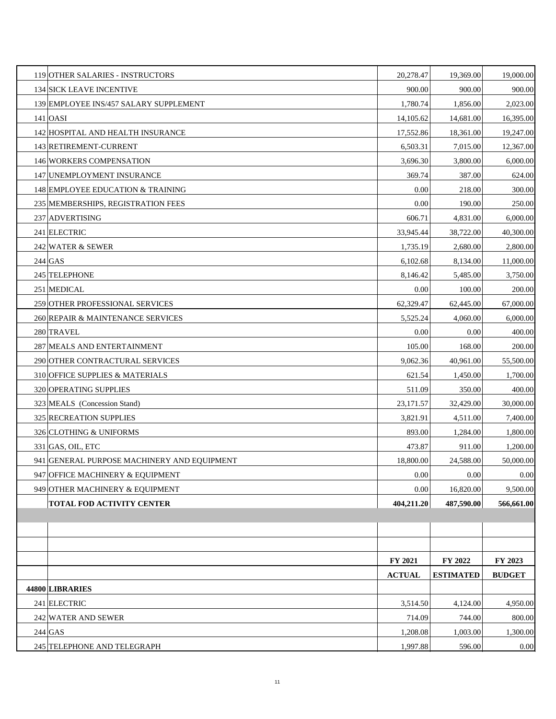| 119 OTHER SALARIES - INSTRUCTORS            | 20,278.47     | 19,369.00        | 19,000.00     |
|---------------------------------------------|---------------|------------------|---------------|
| <b>134 SICK LEAVE INCENTIVE</b>             | 900.00        | 900.00           | 900.00        |
| 139 EMPLOYEE INS/457 SALARY SUPPLEMENT      | 1,780.74      | 1,856.00         | 2,023.00      |
| $141$ OASI                                  | 14,105.62     | 14,681.00        | 16,395.00     |
| 142 HOSPITAL AND HEALTH INSURANCE           | 17,552.86     | 18,361.00        | 19,247.00     |
| 143 RETIREMENT-CURRENT                      | 6,503.31      | 7,015.00         | 12,367.00     |
| 146 WORKERS COMPENSATION                    | 3,696.30      | 3,800.00         | 6,000.00      |
| 147 UNEMPLOYMENT INSURANCE                  | 369.74        | 387.00           | 624.00        |
| 148 EMPLOYEE EDUCATION & TRAINING           | 0.00          | 218.00           | 300.00        |
| 235 MEMBERSHIPS, REGISTRATION FEES          | 0.00          | 190.00           | 250.00        |
| 237 ADVERTISING                             | 606.71        | 4,831.00         | 6,000.00      |
| 241 ELECTRIC                                | 33,945.44     | 38,722.00        | 40,300.00     |
| 242 WATER & SEWER                           | 1,735.19      | 2,680.00         | 2,800.00      |
| $244$ GAS                                   | 6,102.68      | 8,134.00         | 11,000.00     |
| 245 TELEPHONE                               | 8,146.42      | 5,485.00         | 3,750.00      |
| 251 MEDICAL                                 | 0.00          | 100.00           | 200.00        |
| 259 OTHER PROFESSIONAL SERVICES             | 62,329.47     | 62,445.00        | 67,000.00     |
| 260 REPAIR & MAINTENANCE SERVICES           | 5,525.24      | 4,060.00         | 6,000.00      |
| 280 TRAVEL                                  | 0.00          | 0.00             | 400.00        |
| 287 MEALS AND ENTERTAINMENT                 | 105.00        | 168.00           | 200.00        |
| 290 OTHER CONTRACTURAL SERVICES             | 9,062.36      | 40,961.00        | 55,500.00     |
| 310 OFFICE SUPPLIES & MATERIALS             | 621.54        | 1,450.00         | 1,700.00      |
| 320 OPERATING SUPPLIES                      | 511.09        | 350.00           | 400.00        |
| 323 MEALS (Concession Stand)                | 23,171.57     | 32,429.00        | 30,000.00     |
| 325 RECREATION SUPPLIES                     | 3,821.91      | 4,511.00         | 7,400.00      |
| 326 CLOTHING & UNIFORMS                     | 893.00        | 1,284.00         | 1,800.00      |
| $331$ GAS, OIL, ETC                         | 473.87        | 911.00           | 1,200.00      |
| 941 GENERAL PURPOSE MACHINERY AND EQUIPMENT | 18,800.00     | 24,588.00        | 50,000.00     |
| 947 OFFICE MACHINERY & EQUIPMENT            | 0.00          | 0.00             | 0.00          |
| 949 OTHER MACHINERY & EQUIPMENT             | 0.00          | 16,820.00        | 9,500.00      |
| TOTAL FOD ACTIVITY CENTER                   | 404,211.20    | 487,590.00       | 566,661.00    |
|                                             |               |                  |               |
|                                             |               |                  |               |
|                                             |               |                  |               |
|                                             | FY 2021       | FY 2022          | FY 2023       |
|                                             | <b>ACTUAL</b> | <b>ESTIMATED</b> | <b>BUDGET</b> |
| 44800 LIBRARIES                             |               |                  |               |
| 241 ELECTRIC                                | 3,514.50      | 4,124.00         | 4,950.00      |
| 242 WATER AND SEWER                         | 714.09        | 744.00           | 800.00        |
| $244$ GAS                                   | 1,208.08      | 1,003.00         | 1,300.00      |
| 245 TELEPHONE AND TELEGRAPH                 | 1,997.88      | 596.00           | 0.00          |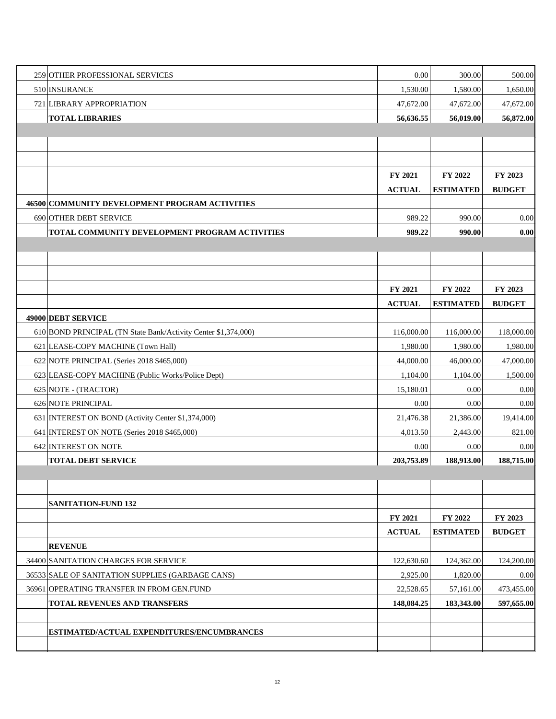| 259 OTHER PROFESSIONAL SERVICES                                | 0.00          | 300.00           | 500.00        |
|----------------------------------------------------------------|---------------|------------------|---------------|
| 510 INSURANCE                                                  | 1,530.00      | 1,580.00         | 1,650.00      |
| 721 LIBRARY APPROPRIATION                                      | 47,672.00     | 47,672.00        | 47,672.00     |
| <b>TOTAL LIBRARIES</b>                                         | 56,636.55     | 56,019.00        | 56,872.00     |
|                                                                |               |                  |               |
|                                                                |               |                  |               |
|                                                                |               |                  |               |
|                                                                | FY 2021       | FY 2022          | FY 2023       |
|                                                                | <b>ACTUAL</b> | <b>ESTIMATED</b> | <b>BUDGET</b> |
| 46500 COMMUNITY DEVELOPMENT PROGRAM ACTIVITIES                 |               |                  |               |
| 690 OTHER DEBT SERVICE                                         | 989.22        | 990.00           | 0.00          |
| TOTAL COMMUNITY DEVELOPMENT PROGRAM ACTIVITIES                 | 989.22        | 990.00           | 0.00          |
|                                                                |               |                  |               |
|                                                                |               |                  |               |
|                                                                |               |                  |               |
|                                                                | FY 2021       | FY 2022          | FY 2023       |
|                                                                | <b>ACTUAL</b> | <b>ESTIMATED</b> | <b>BUDGET</b> |
| 49000 DEBT SERVICE                                             |               |                  |               |
| 610 BOND PRINCIPAL (TN State Bank/Activity Center \$1,374,000) | 116,000.00    | 116,000.00       | 118,000.00    |
| 621 LEASE-COPY MACHINE (Town Hall)                             | 1,980.00      | 1,980.00         | 1,980.00      |
| 622 NOTE PRINCIPAL (Series 2018 \$465,000)                     | 44,000.00     | 46,000.00        | 47,000.00     |
| 623 LEASE-COPY MACHINE (Public Works/Police Dept)              | 1,104.00      | 1,104.00         | 1,500.00      |
| 625 NOTE - (TRACTOR)                                           | 15,180.01     | 0.00             | 0.00          |
| 626 NOTE PRINCIPAL                                             | 0.00          | 0.00             | 0.00          |
| 631 INTEREST ON BOND (Activity Center \$1,374,000)             | 21,476.38     | 21,386.00        | 19,414.00     |
| 641 INTEREST ON NOTE (Series 2018 \$465,000)                   | 4,013.50      | 2,443.00         | 821.00        |
| 642 INTEREST ON NOTE                                           | 0.00          | 0.00             | 0.00          |
| <b>TOTAL DEBT SERVICE</b>                                      | 203,753.89    | 188,913.00       | 188,715.00    |
|                                                                |               |                  |               |
|                                                                |               |                  |               |
| <b>SANITATION-FUND 132</b>                                     |               |                  |               |
|                                                                | FY 2021       | FY 2022          | FY 2023       |
|                                                                | <b>ACTUAL</b> | <b>ESTIMATED</b> | <b>BUDGET</b> |
| <b>REVENUE</b>                                                 |               |                  |               |
| 34400 SANITATION CHARGES FOR SERVICE                           | 122,630.60    | 124,362.00       | 124,200.00    |
| 36533 SALE OF SANITATION SUPPLIES (GARBAGE CANS)               | 2,925.00      | 1,820.00         | 0.00          |
| 36961 OPERATING TRANSFER IN FROM GEN.FUND                      | 22,528.65     | 57,161.00        | 473,455.00    |
| TOTAL REVENUES AND TRANSFERS                                   | 148,084.25    | 183,343.00       | 597,655.00    |
|                                                                |               |                  |               |
| ESTIMATED/ACTUAL EXPENDITURES/ENCUMBRANCES                     |               |                  |               |
|                                                                |               |                  |               |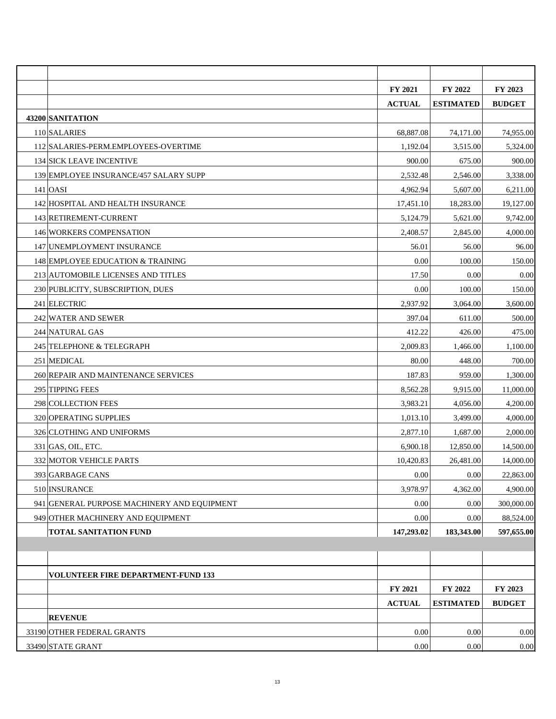|                                             | FY 2021       | FY 2022          | FY 2023       |
|---------------------------------------------|---------------|------------------|---------------|
|                                             | <b>ACTUAL</b> | <b>ESTIMATED</b> | <b>BUDGET</b> |
| 43200 SANITATION                            |               |                  |               |
| 110 SALARIES                                | 68,887.08     | 74,171.00        | 74,955.00     |
| 112 SALARIES-PERM.EMPLOYEES-OVERTIME        | 1,192.04      | 3,515.00         | 5,324.00      |
| 134 SICK LEAVE INCENTIVE                    | 900.00        | 675.00           | 900.00        |
| 139 EMPLOYEE INSURANCE/457 SALARY SUPP      | 2,532.48      | 2,546.00         | 3,338.00      |
| $141$ OASI                                  | 4,962.94      | 5,607.00         | 6,211.00      |
| 142 HOSPITAL AND HEALTH INSURANCE           | 17,451.10     | 18,283.00        | 19,127.00     |
| 143 RETIREMENT-CURRENT                      | 5,124.79      | 5,621.00         | 9,742.00      |
| 146 WORKERS COMPENSATION                    | 2,408.57      | 2,845.00         | 4,000.00      |
| 147 UNEMPLOYMENT INSURANCE                  | 56.01         | 56.00            | 96.00         |
| 148 EMPLOYEE EDUCATION & TRAINING           | 0.00          | 100.00           | 150.00        |
| 213 AUTOMOBILE LICENSES AND TITLES          | 17.50         | 0.00             | 0.00          |
| 230 PUBLICITY, SUBSCRIPTION, DUES           | 0.00          | 100.00           | 150.00        |
| 241 ELECTRIC                                | 2,937.92      | 3,064.00         | 3,600.00      |
| 242 WATER AND SEWER                         | 397.04        | 611.00           | 500.00        |
| 244 NATURAL GAS                             | 412.22        | 426.00           | 475.00        |
| 245 TELEPHONE & TELEGRAPH                   | 2,009.83      | 1,466.00         | 1,100.00      |
| 251 MEDICAL                                 | 80.00         | 448.00           | 700.00        |
| 260 REPAIR AND MAINTENANCE SERVICES         | 187.83        | 959.00           | 1,300.00      |
| 295 TIPPING FEES                            | 8,562.28      | 9,915.00         | 11,000.00     |
| 298 COLLECTION FEES                         | 3,983.21      | 4,056.00         | 4,200.00      |
| 320 OPERATING SUPPLIES                      | 1,013.10      | 3,499.00         | 4,000.00      |
| 326 CLOTHING AND UNIFORMS                   | 2,877.10      | 1,687.00         | 2,000.00      |
| 331 GAS, OIL, ETC.                          | 6,900.18      | 12,850.00        | 14,500.00     |
| 332 MOTOR VEHICLE PARTS                     | 10,420.83     | 26,481.00        | 14,000.00     |
| 393 GARBAGE CANS                            | $0.00\,$      | $0.00\,$         | 22,863.00     |
| 510 INSURANCE                               | 3,978.97      | 4,362.00         | 4,900.00      |
| 941 GENERAL PURPOSE MACHINERY AND EQUIPMENT | 0.00          | 0.00             | 300,000.00    |
| 949 OTHER MACHINERY AND EQUIPMENT           | 0.00          | 0.00             | 88,524.00     |
| <b>TOTAL SANITATION FUND</b>                | 147,293.02    | 183,343.00       | 597,655.00    |
|                                             |               |                  |               |
|                                             |               |                  |               |
| <b>VOLUNTEER FIRE DEPARTMENT-FUND 133</b>   |               |                  |               |
|                                             | FY 2021       | FY 2022          | FY 2023       |
|                                             | <b>ACTUAL</b> | <b>ESTIMATED</b> | <b>BUDGET</b> |
| <b>REVENUE</b>                              |               |                  |               |
| 33190 OTHER FEDERAL GRANTS                  | 0.00          | 0.00             | 0.00          |
| 33490 STATE GRANT                           | 0.00          | 0.00             | 0.00          |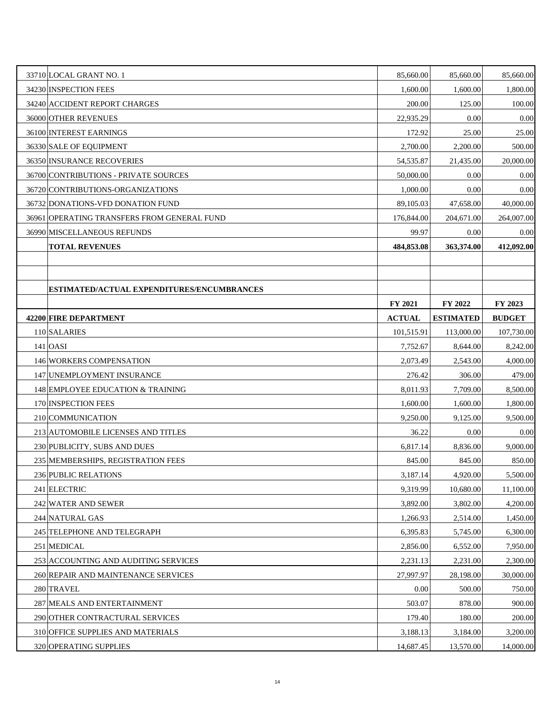| 33710 LOCAL GRANT NO. 1                     | 85,660.00     | 85,660.00        | 85,660.00     |
|---------------------------------------------|---------------|------------------|---------------|
| 34230 INSPECTION FEES                       | 1,600.00      | 1,600.00         | 1,800.00      |
| 34240 ACCIDENT REPORT CHARGES               | 200.00        | 125.00           | 100.00        |
| 36000 OTHER REVENUES                        | 22,935.29     | 0.00             | 0.00          |
| 36100 INTEREST EARNINGS                     | 172.92        | 25.00            | 25.00         |
| 36330 SALE OF EQUIPMENT                     | 2,700.00      | 2,200.00         | 500.00        |
| 36350 INSURANCE RECOVERIES                  | 54, 535. 87   | 21,435.00        | 20,000.00     |
| 36700 CONTRIBUTIONS - PRIVATE SOURCES       | 50,000.00     | 0.00             | 0.00          |
| 36720 CONTRIBUTIONS-ORGANIZATIONS           | 1,000.00      | 0.00             | 0.00          |
| 36732 DONATIONS-VFD DONATION FUND           | 89,105.03     | 47,658.00        | 40,000.00     |
| 36961 OPERATING TRANSFERS FROM GENERAL FUND | 176,844.00    | 204,671.00       | 264,007.00    |
| 36990 MISCELLANEOUS REFUNDS                 | 99.97         | 0.00             | 0.00          |
| <b>TOTAL REVENUES</b>                       | 484,853.08    | 363,374.00       | 412,092.00    |
|                                             |               |                  |               |
|                                             |               |                  |               |
| ESTIMATED/ACTUAL EXPENDITURES/ENCUMBRANCES  |               |                  |               |
|                                             | FY 2021       | FY 2022          | FY 2023       |
| 42200 FIRE DEPARTMENT                       | <b>ACTUAL</b> | <b>ESTIMATED</b> | <b>BUDGET</b> |
| 110 SALARIES                                | 101,515.91    | 113,000.00       | 107,730.00    |
| $141$ OASI                                  | 7,752.67      | 8,644.00         | 8,242.00      |
| 146 WORKERS COMPENSATION                    | 2,073.49      | 2,543.00         | 4,000.00      |
| 147 UNEMPLOYMENT INSURANCE                  | 276.42        | 306.00           | 479.00        |
| 148 EMPLOYEE EDUCATION & TRAINING           | 8,011.93      | 7,709.00         | 8,500.00      |
| 170 INSPECTION FEES                         | 1,600.00      | 1,600.00         | 1,800.00      |
| 210 COMMUNICATION                           | 9,250.00      | 9,125.00         | 9,500.00      |
| 213 AUTOMOBILE LICENSES AND TITLES          | 36.22         | 0.00             | 0.00          |
| 230 PUBLICITY, SUBS AND DUES                | 6,817.14      | 8,836.00         | 9,000.00      |
| 235 MEMBERSHIPS, REGISTRATION FEES          | 845.00        | 845.00           | 850.00        |
| 236 PUBLIC RELATIONS                        | 3,187.14      | 4,920.00         | 5,500.00      |
| 241 ELECTRIC                                | 9,319.99      | 10,680.00        | 11,100.00     |
| 242 WATER AND SEWER                         | 3,892.00      | 3,802.00         | 4,200.00      |
| 244 NATURAL GAS                             | 1,266.93      | 2,514.00         | 1,450.00      |
| 245 TELEPHONE AND TELEGRAPH                 | 6,395.83      | 5,745.00         | 6,300.00      |
| 251 MEDICAL                                 | 2,856.00      | 6,552.00         | 7,950.00      |
| 253 ACCOUNTING AND AUDITING SERVICES        | 2,231.13      | 2,231.00         | 2,300.00      |
| 260 REPAIR AND MAINTENANCE SERVICES         | 27,997.97     | 28,198.00        | 30,000.00     |
| 280 TRAVEL                                  | 0.00          | 500.00           | 750.00        |
| 287 MEALS AND ENTERTAINMENT                 | 503.07        | 878.00           | 900.00        |
| 290 OTHER CONTRACTURAL SERVICES             | 179.40        | 180.00           | 200.00        |
| 310 OFFICE SUPPLIES AND MATERIALS           | 3,188.13      | 3,184.00         | 3,200.00      |
| 320 OPERATING SUPPLIES                      | 14,687.45     | 13,570.00        | 14,000.00     |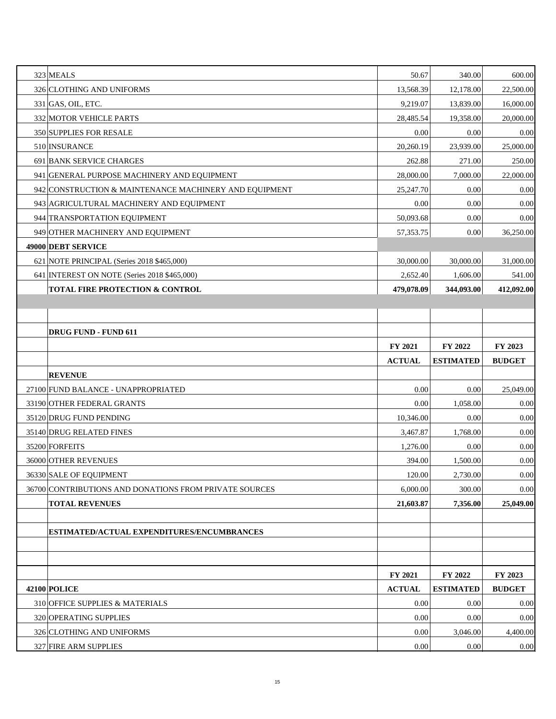| 323 MEALS                                              | 50.67         | 340.00           | 600.00                                            |
|--------------------------------------------------------|---------------|------------------|---------------------------------------------------|
| 326 CLOTHING AND UNIFORMS                              | 13,568.39     | 12,178.00        | 22,500.00                                         |
| $331$ GAS, OIL, ETC.                                   | 9,219.07      | 13,839.00        | 16,000.00                                         |
| 332 MOTOR VEHICLE PARTS                                | 28,485.54     | 19,358.00        | 20,000.00                                         |
| 350 SUPPLIES FOR RESALE                                | 0.00          | 0.00             | 0.00                                              |
| 510 INSURANCE                                          | 20,260.19     | 23,939.00        | 25,000.00                                         |
| 691 BANK SERVICE CHARGES                               | 262.88        | 271.00           | 250.00                                            |
| 941 GENERAL PURPOSE MACHINERY AND EQUIPMENT            | 28,000.00     | 7,000.00         | 22,000.00                                         |
| 942 CONSTRUCTION & MAINTENANCE MACHINERY AND EQUIPMENT | 25,247.70     | 0.00             | 0.00                                              |
| 943 AGRICULTURAL MACHINERY AND EQUIPMENT               | 0.00          | 0.00             | 0.00                                              |
| 944 TRANSPORTATION EQUIPMENT                           | 50,093.68     | 0.00             | 0.00                                              |
| 949 OTHER MACHINERY AND EQUIPMENT                      | 57,353.75     | 0.00             | 36,250.00                                         |
| 49000 DEBT SERVICE                                     |               |                  |                                                   |
| 621 NOTE PRINCIPAL (Series 2018 \$465,000)             | 30,000.00     | 30,000.00        | 31,000.00                                         |
| 641 INTEREST ON NOTE (Series 2018 \$465,000)           | 2,652.40      | 1,606.00         | 541.00                                            |
| <b>TOTAL FIRE PROTECTION &amp; CONTROL</b>             | 479,078.09    | 344,093.00       | 412,092.00                                        |
|                                                        |               |                  |                                                   |
|                                                        |               |                  |                                                   |
| <b>DRUG FUND - FUND 611</b>                            |               |                  |                                                   |
|                                                        | FY 2021       | FY 2022          | FY 2023                                           |
|                                                        | <b>ACTUAL</b> | <b>ESTIMATED</b> | <b>BUDGET</b>                                     |
| <b>REVENUE</b>                                         |               |                  |                                                   |
| 27100 FUND BALANCE - UNAPPROPRIATED                    | 0.00          | 0.00             | 25,049.00                                         |
| 33190 OTHER FEDERAL GRANTS                             | 0.00          | 1,058.00         | 0.00                                              |
| 35120 DRUG FUND PENDING                                | 10,346.00     | 0.00             | 0.00                                              |
| 35140 DRUG RELATED FINES                               | 3,467.87      | 1,768.00         | 0.00                                              |
| 35200 FORFEITS                                         | 1,276.00      | 0.00             | 0.00                                              |
| 36000 OTHER REVENUES                                   | 394.00        | 1,500.00         | 0.00                                              |
| 36330 SALE OF EQUIPMENT                                | 120.00        | 2,730.00         | $0.00\,$                                          |
|                                                        |               |                  |                                                   |
| 36700 CONTRIBUTIONS AND DONATIONS FROM PRIVATE SOURCES | 6,000.00      | 300.00           |                                                   |
| <b>TOTAL REVENUES</b>                                  | 21,603.87     | 7,356.00         |                                                   |
|                                                        |               |                  |                                                   |
| ESTIMATED/ACTUAL EXPENDITURES/ENCUMBRANCES             |               |                  |                                                   |
|                                                        |               |                  |                                                   |
|                                                        |               |                  |                                                   |
|                                                        | FY 2021       | FY 2022          | FY 2023                                           |
| <b>42100 POLICE</b>                                    | <b>ACTUAL</b> | <b>ESTIMATED</b> | <b>BUDGET</b>                                     |
| 310 OFFICE SUPPLIES & MATERIALS                        | 0.00          | 0.00             |                                                   |
| 320 OPERATING SUPPLIES                                 | 0.00          | 0.00             |                                                   |
| 326 CLOTHING AND UNIFORMS                              | 0.00          | 3,046.00         | $0.00\,$<br>25,049.00<br>0.00<br>0.00<br>4,400.00 |